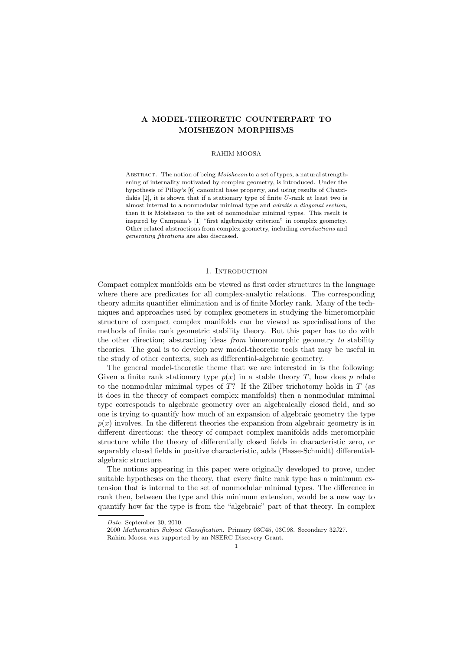# A MODEL-THEORETIC COUNTERPART TO MOISHEZON MORPHISMS

### RAHIM MOOSA

ABSTRACT. The notion of being *Moishezon* to a set of types, a natural strengthening of internality motivated by complex geometry, is introduced. Under the hypothesis of Pillay's [6] canonical base property, and using results of Chatzidakis [2], it is shown that if a stationary type of finite U-rank at least two is almost internal to a nonmodular minimal type and admits a diagonal section, then it is Moishezon to the set of nonmodular minimal types. This result is inspired by Campana's [1] "first algebraicity criterion" in complex geometry. Other related abstractions from complex geometry, including coreductions and generating fibrations are also discussed.

# 1. INTRODUCTION

Compact complex manifolds can be viewed as first order structures in the language where there are predicates for all complex-analytic relations. The corresponding theory admits quantifier elimination and is of finite Morley rank. Many of the techniques and approaches used by complex geometers in studying the bimeromorphic structure of compact complex manifolds can be viewed as specialisations of the methods of finite rank geometric stability theory. But this paper has to do with the other direction; abstracting ideas *from* bimeromorphic geometry to stability theories. The goal is to develop new model-theoretic tools that may be useful in the study of other contexts, such as differential-algebraic geometry.

The general model-theoretic theme that we are interested in is the following: Given a finite rank stationary type  $p(x)$  in a stable theory T, how does p relate to the nonmodular minimal types of  $T$ ? If the Zilber trichotomy holds in  $T$  (as it does in the theory of compact complex manifolds) then a nonmodular minimal type corresponds to algebraic geometry over an algebraically closed field, and so one is trying to quantify how much of an expansion of algebraic geometry the type  $p(x)$  involves. In the different theories the expansion from algebraic geometry is in different directions: the theory of compact complex manifolds adds meromorphic structure while the theory of differentially closed fields in characteristic zero, or separably closed fields in positive characteristic, adds (Hasse-Schmidt) differentialalgebraic structure.

The notions appearing in this paper were originally developed to prove, under suitable hypotheses on the theory, that every finite rank type has a minimum extension that is internal to the set of nonmodular minimal types. The difference in rank then, between the type and this minimum extension, would be a new way to quantify how far the type is from the "algebraic" part of that theory. In complex

Date: September 30, 2010.

<sup>2000</sup> Mathematics Subject Classification. Primary 03C45, 03C98. Secondary 32J27. Rahim Moosa was supported by an NSERC Discovery Grant.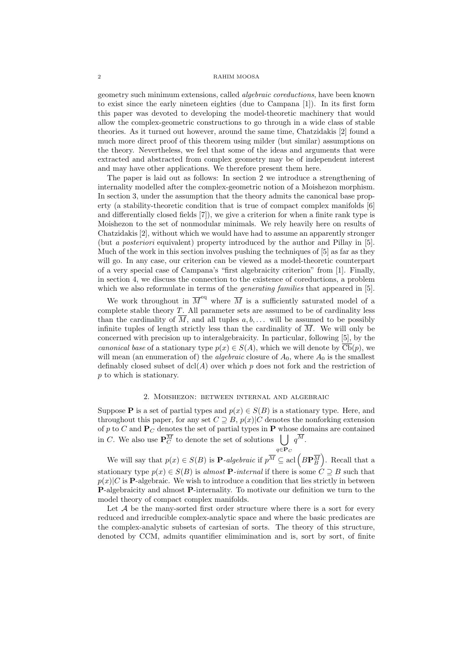geometry such minimum extensions, called algebraic coreductions, have been known to exist since the early nineteen eighties (due to Campana [1]). In its first form this paper was devoted to developing the model-theoretic machinery that would allow the complex-geometric constructions to go through in a wide class of stable theories. As it turned out however, around the same time, Chatzidakis [2] found a much more direct proof of this theorem using milder (but similar) assumptions on the theory. Nevertheless, we feel that some of the ideas and arguments that were extracted and abstracted from complex geometry may be of independent interest and may have other applications. We therefore present them here.

The paper is laid out as follows: In section 2 we introduce a strengthening of internality modelled after the complex-geometric notion of a Moishezon morphism. In section 3, under the assumption that the theory admits the canonical base property (a stability-theoretic condition that is true of compact complex manifolds [6] and differentially closed fields [7]), we give a criterion for when a finite rank type is Moishezon to the set of nonmodular minimals. We rely heavily here on results of Chatzidakis [2], without which we would have had to assume an apparently stronger (but a posteriori equivalent) property introduced by the author and Pillay in [5]. Much of the work in this section involves pushing the techniques of [5] as far as they will go. In any case, our criterion can be viewed as a model-theoretic counterpart of a very special case of Campana's "first algebraicity criterion" from [1]. Finally, in section 4, we discuss the connection to the existence of coreductions, a problem which we also reformulate in terms of the *generating families* that appeared in [5].

We work throughout in  $\overline{M}^{\text{eq}}$  where  $\overline{M}$  is a sufficiently saturated model of a complete stable theory  $T$ . All parameter sets are assumed to be of cardinality less than the cardinality of  $\overline{M}$ , and all tuples  $a, b, \ldots$  will be assumed to be possibly infinite tuples of length strictly less than the cardinality of  $\overline{M}$ . We will only be concerned with precision up to interalgebraicity. In particular, following [5], by the canonical base of a stationary type  $p(x) \in S(A)$ , which we will denote by  $\overline{\text{Cb}}(p)$ , we will mean (an enumeration of) the *algebraic* closure of  $A_0$ , where  $A_0$  is the smallest definably closed subset of  $dcl(A)$  over which p does not fork and the restriction of p to which is stationary.

# 2. Moishezon: between internal and algebraic

Suppose P is a set of partial types and  $p(x) \in S(B)$  is a stationary type. Here, and throughout this paper, for any set  $C \supseteq B$ ,  $p(x)|C$  denotes the nonforking extension of p to C and  $P_C$  denotes the set of partial types in P whose domains are contained in C. We also use  $\mathbf{P}_C^{\overline{M}}$  to denote the set of solutions  $\bigcup q^{\overline{M}}$ .  $q \in \mathbf{P}_C$ 

We will say that  $p(x) \in S(B)$  is **P**-algebraic if  $p^{\overline{M}} \subseteq$  acl  $\left(B\mathbf{P}_{B}^{\overline{M}}\right)$ . Recall that a stationary type  $p(x) \in S(B)$  is almost **P**-internal if there is some  $C \supseteq B$  such that  $p(x)|C$  is **P**-algebraic. We wish to introduce a condition that lies strictly in between P-algebraicity and almost P-internality. To motivate our definition we turn to the model theory of compact complex manifolds.

Let  $A$  be the many-sorted first order structure where there is a sort for every reduced and irreducible complex-analytic space and where the basic predicates are the complex-analytic subsets of cartesian of sorts. The theory of this structure, denoted by CCM, admits quantifier elimimination and is, sort by sort, of finite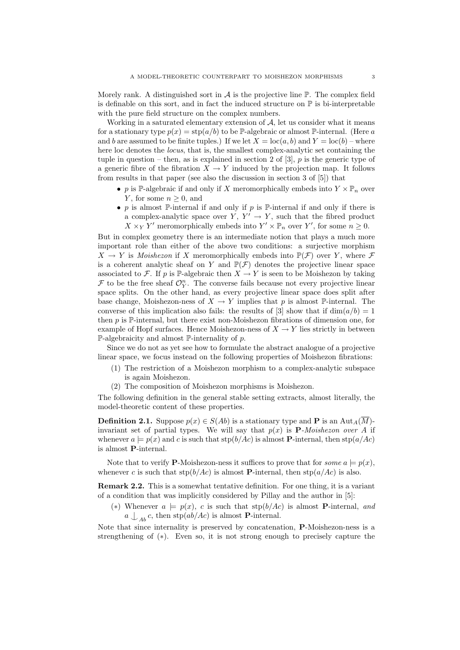Morely rank. A distinguished sort in  $\mathcal A$  is the projective line  $\mathbb P$ . The complex field is definable on this sort, and in fact the induced structure on  $\mathbb P$  is bi-interpretable with the pure field structure on the complex numbers.

Working in a saturated elementary extension of  $A$ , let us consider what it means for a stationary type  $p(x) = \text{stp}(a/b)$  to be P-algebraic or almost P-internal. (Here a and b are assumed to be finite tuples.) If we let  $X = \text{loc}(a, b)$  and  $Y = \text{loc}(b)$  – where here loc denotes the *locus*, that is, the smallest complex-analytic set containing the tuple in question – then, as is explained in section 2 of [3],  $p$  is the generic type of a generic fibre of the fibration  $X \to Y$  induced by the projection map. It follows from results in that paper (see also the discussion in section 3 of [5]) that

- p is P-algebraic if and only if X meromorphically embeds into  $Y \times \mathbb{P}_n$  over Y, for some  $n \geq 0$ , and
- p is almost  $\mathbb{P}$ -internal if and only if p is  $\mathbb{P}$ -internal if and only if there is a complex-analytic space over  $Y, Y' \rightarrow Y$ , such that the fibred product  $X \times_Y Y'$  meromorphically embeds into  $Y' \times \mathbb{P}_n$  over  $Y'$ , for some  $n \geq 0$ .

But in complex geometry there is an intermediate notion that plays a much more important role than either of the above two conditions: a surjective morphism  $X \to Y$  is *Moishezon* if X meromorphically embeds into  $\mathbb{P}(\mathcal{F})$  over Y, where  $\mathcal F$ is a coherent analytic sheaf on Y and  $\mathbb{P}(\mathcal{F})$  denotes the projective linear space associated to F. If p is P-algebraic then  $X \to Y$  is seen to be Moishezon by taking  $\mathcal F$  to be the free sheaf  $\mathcal O_Y^n$ . The converse fails because not every projective linear space splits. On the other hand, as every projective linear space does split after base change, Moishezon-ness of  $X \to Y$  implies that p is almost P-internal. The converse of this implication also fails: the results of [3] show that if  $\dim(a/b) = 1$ then  $p$  is  $\mathbb{P}$ -internal, but there exist non-Moishezon fibrations of dimension one, for example of Hopf surfaces. Hence Moishezon-ness of  $X \to Y$  lies strictly in between  $\mathbb{P}\text{-algebraicity and almost }\mathbb{P}\text{-interality of }p.$ 

Since we do not as yet see how to formulate the abstract analogue of a projective linear space, we focus instead on the following properties of Moishezon fibrations:

- (1) The restriction of a Moishezon morphism to a complex-analytic subspace is again Moishezon.
- (2) The composition of Moishezon morphisms is Moishezon.

The following definition in the general stable setting extracts, almost literally, the model-theoretic content of these properties.

**Definition 2.1.** Suppose  $p(x) \in S(Ab)$  is a stationary type and **P** is an Aut<sub>A</sub>( $\overline{M}$ )invariant set of partial types. We will say that  $p(x)$  is **P**-Moishezon over A if whenever  $a \models p(x)$  and c is such that  $\text{stp}(b/Ac)$  is almost **P**-internal, then  $\text{stp}(a/Ac)$ is almost P-internal.

Note that to verify **P**-Moishezon-ness it suffices to prove that for *some*  $a \models p(x)$ , whenever c is such that  $\text{stp}(b/Ac)$  is almost **P**-internal, then  $\text{stp}(a/Ac)$  is also.

Remark 2.2. This is a somewhat tentative definition. For one thing, it is a variant of a condition that was implicitly considered by Pillay and the author in [5]:

(\*) Whenever  $a \models p(x)$ , c is such that  $\text{stp}(b/Ac)$  is almost **P**-internal, and  $a \nightharpoonup_{Ab} c$ , then stp $(ab/Ac)$  is almost **P**-internal.

Note that since internality is preserved by concatenation, P-Moishezon-ness is a strengthening of (∗). Even so, it is not strong enough to precisely capture the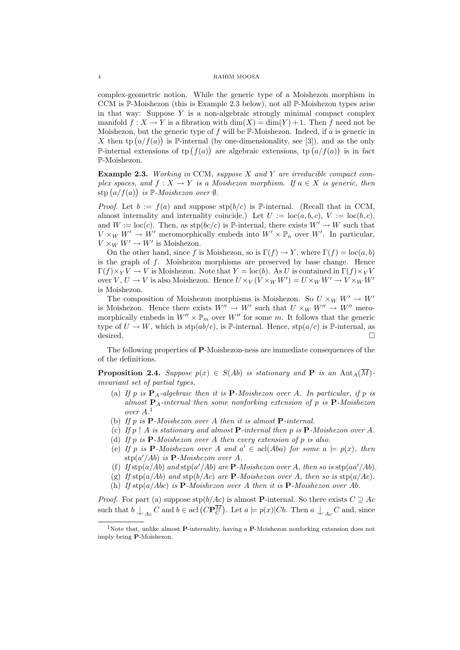complex-geometric notion. While the generic type of a Moishezon morphism in CCM is P-Moishezon (this is Example 2.3 below), not all P-Moishezon types arise in that way: Suppose  $Y$  is a non-algebraic strongly minimal compact complex manifold  $f: X \to Y$  is a fibration with  $\dim(X) = \dim(Y) + 1$ . Then f need not be Moishezon, but the generic type of f will be  $\mathbb{P}\text{-Moishezon}$ . Indeed, if a is generic in X then tp  $(a/f(a))$  is P-internal (by one-dimensionality, see [3]), and as the only P-internal extensions of tp  $(f(a))$  are algebraic extensions, tp  $(a/f(a))$  is in fact P-Moishezon.

**Example 2.3.** Working in CCM, suppose  $X$  and  $Y$  are irreducible compact complex spaces, and  $f: X \to Y$  is a Moishezon morphism. If  $a \in X$  is generic, then stp  $(a/f(a))$  is P-Moishezon over  $\emptyset$ .

*Proof.* Let  $b := f(a)$  and suppose  $\text{stp}(b/c)$  is P-internal. (Recall that in CCM, almost internality and internality coincide.) Let  $U := \text{loc}(a, b, c), V := \text{loc}(b, c),$ and  $W := \text{loc}(c)$ . Then, as  $\text{stp}(bc/c)$  is P-internal, there exists  $W' \to W$  such that  $V \times_W W' \to W'$  meromorphically embeds into  $W' \times \mathbb{P}_n$  over W'. In particular,  $V \times_W W' \to W'$  is Moishezon.

On the other hand, since f is Moishezon, so is  $\Gamma(f) \to Y$ , where  $\Gamma(f) = \text{loc}(a, b)$ is the graph of f. Moishezon morphisms are preserved by base change. Hence  $\Gamma(f)\times_Y V \to V$  is Moishezon. Note that  $Y = \text{loc}(b)$ . As U is contained in  $\Gamma(f)\times_Y V$ over  $V, U \to V$  is also Moishezon. Hence  $U \times_V (V \times_W W') = U \times_W W' \to V \times_W W'$ is Moishezon.

The composition of Moishezon morphisms is Moishezon. So  $U \times_W W' \to W'$ is Moishezon. Hence there exists  $W'' \to W'$  such that  $U \times_W W'' \to W''$  meromorphically embeds in  $W'' \times \mathbb{P}_m$  over W'' for some m. It follows that the generic type of  $U \to W$ , which is  $\text{stp}(ab/c)$ , is P-internal. Hence,  $\text{stp}(a/c)$  is P-internal, as desired.

The following properties of P-Moishezon-ness are immediate consequences of the of the definitions.

**Proposition 2.4.** Suppose  $p(x) \in S(Ab)$  is stationary and **P** is an Aut<sub>A</sub>( $\overline{M}$ ). invariant set of partial types.

- (a) If p is  $P_A$ -algebraic then it is  $P-Moishezon over A$ . In particular, if p is almost  $P_A$ -internal then some nonforking extension of p is  $P$ -Moishezon over A. 1
- (b) If p is  $P$ -Moishezon over A then it is almost  $P$ -internal.
- (c) If  $p \restriction A$  is stationary and almost **P**-internal then p is **P**-Moishezon over A.
- (d) If p is  $P$ -Moishezon over A then every extension of p is also.
- (e) If p is **P**-Moishezon over A and  $a' \in \text{acl}(Aba)$  for some  $a \models p(x)$ , then  $\exp(a'/Ab)$  is **P**-Moishezon over A.
- (f) If  $\text{stp}(a/Ab)$  and  $\text{stp}(a'/Ab)$  are **P**-Moishezon over A, then so is  $\text{stp}(aa'/Ab)$ .
- (g) If  $\text{stp}(a/Ab)$  and  $\text{stp}(b/Ac)$  are **P**-Moishezon over A, then so is  $\text{stp}(a/Ac)$ .
- (h) If  $\text{stp}(a/Abc)$  is **P**-Moishezon over A then it is **P**-Moishezon over Ab.

*Proof.* For part (a) suppose  $\text{stp}(b/Ac)$  is almost **P**-internal. So there exists  $C \supseteq Ac$ such that  $b \bigcup_{Ac} C$  and  $b \in \text{acl}(C\mathbf{P}_C^M)$ . Let  $a \models p(x)|Cb$ . Then  $a \bigcup_{Ac} C$  and, since

<sup>&</sup>lt;sup>1</sup>Note that, unlike almost **P**-internality, having a **P**-Moishezon nonforking extension does not imply being P-Moishezon.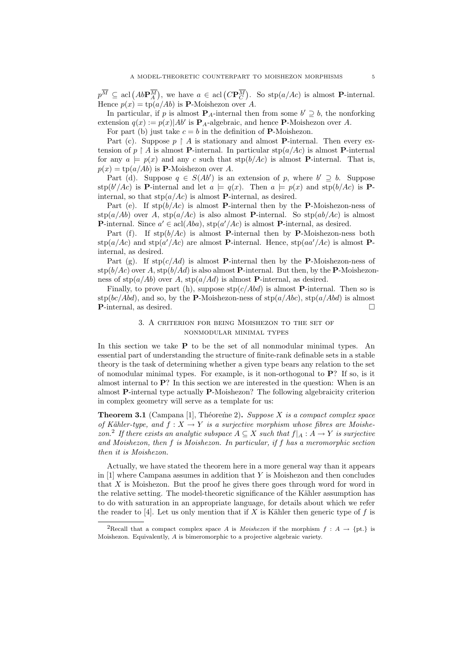$p^M \subseteq \text{acl}(AbP_A^M)$ , we have  $a \in \text{acl}(CP_C^M)$ . So stp $(a/Ac)$  is almost P-internal. Hence  $p(x) = \text{tp}(a/Ab)$  is **P**-Moishezon over A.

In particular, if p is almost  $P_A$ -internal then from some  $b' \supseteq b$ , the nonforking extension  $q(x) := p(x)|Ab'$  is  $\mathbf{P}_A$ -algebraic, and hence  $\mathbf{P}$ -Moishezon over A.

For part (b) just take  $c = b$  in the definition of **P**-Moishezon.

Part (c). Suppose  $p \restriction A$  is stationary and almost **P**-internal. Then every extension of  $p \restriction A$  is almost **P**-internal. In particular  $\text{stp}(a/Ac)$  is almost **P**-internal for any  $a \models p(x)$  and any c such that  $\text{stp}(b/Ac)$  is almost **P**-internal. That is,  $p(x) = \text{tp}(a/Ab)$  is **P**-Moishezon over A.

Part (d). Suppose  $q \in S(Ab')$  is an extension of p, where  $b' \supseteq b$ . Suppose stp(b'/Ac) is **P**-internal and let  $a \models q(x)$ . Then  $a \models p(x)$  and stp(b/Ac) is **P**internal, so that  $\text{stp}(a/Ac)$  is almost **P**-internal, as desired.

Part (e). If  $\text{stp}(b/Ac)$  is almost **P**-internal then by the **P**-Moishezon-ness of  $\exp(a/Ab)$  over A,  $\exp(a/Ac)$  is also almost **P**-internal. So  $\exp(ab/Ac)$  is almost **P**-internal. Since  $a' \in \text{acl}(Aba)$ ,  $\text{stp}(a'/Ac)$  is almost **P**-internal, as desired.

Part (f). If  $\text{stp}(b/Ac)$  is almost **P**-internal then by **P**-Moishezon-ness both  $\exp(a/Ac)$  and  $\sup(a'/Ac)$  are almost P-internal. Hence,  $\sup(aa'/Ac)$  is almost Pinternal, as desired.

Part (g). If  $\text{stp}(c/Ad)$  is almost **P**-internal then by the **P**-Moishezon-ness of  $\sup(b/Ac)$  over A,  $\sup(b/Ad)$  is also almost **P**-internal. But then, by the **P**-Moishezonness of  $\text{stp}(a/Ab)$  over A,  $\text{stp}(a/Ad)$  is almost **P**-internal, as desired.

Finally, to prove part (h), suppose  $\text{stp}(c/Abd)$  is almost **P**-internal. Then so is stp(bc/Abd), and so, by the **P**-Moishezon-ness of  $\text{stp}(a/Abc)$ ,  $\text{stp}(a/Abd)$  is almost **P**-internal, as desired. □

# 3. A criterion for being Moishezon to the set of nonmodular minimal types

In this section we take  $P$  to be the set of all nonmodular minimal types. An essential part of understanding the structure of finite-rank definable sets in a stable theory is the task of determining whether a given type bears any relation to the set of nomodular minimal types. For example, is it non-orthogonal to P? If so, is it almost internal to P? In this section we are interested in the question: When is an almost P-internal type actually P-Moishezon? The following algebraicity criterion in complex geometry will serve as a template for us:

**Theorem 3.1** (Campana [1], Théoreme 2). Suppose X is a compact complex space of Kähler-type, and  $f : X \to Y$  is a surjective morphism whose fibres are Moishezon.<sup>2</sup> If there exists an analytic subspace  $A \subseteq X$  such that  $f|_A : A \to Y$  is surjective and Moishezon, then f is Moishezon. In particular, if f has a meromorphic section then it is Moishezon.

Actually, we have stated the theorem here in a more general way than it appears in  $[1]$  where Campana assumes in addition that Y is Moishezon and then concludes that X is Moishezon. But the proof he gives there goes through word for word in the relative setting. The model-theoretic significance of the Kähler assumption has to do with saturation in an appropriate language, for details about which we refer the reader to [4]. Let us only mention that if X is Kähler then generic type of f is

<sup>&</sup>lt;sup>2</sup>Recall that a compact complex space A is *Moishezon* if the morphism  $f : A \to \{pt.\}$  is Moishezon. Equivalently, A is bimeromorphic to a projective algebraic variety.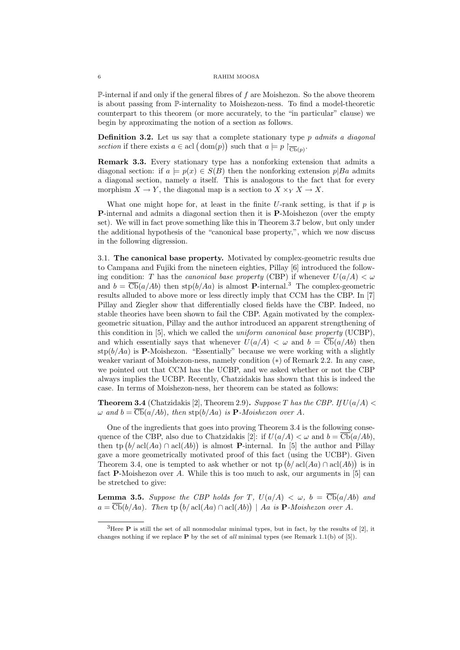$\mathbb P$ -internal if and only if the general fibres of f are Moishezon. So the above theorem is about passing from P-internality to Moishezon-ness. To find a model-theoretic counterpart to this theorem (or more accurately, to the "in particular" clause) we begin by approximating the notion of a section as follows.

**Definition 3.2.** Let us say that a complete stationary type  $p$  admits a diagonal section if there exists  $a \in \text{acl}(\text{dom}(p))$  such that  $a \models p \upharpoonright_{\overline{\text{Cb}}(p)}$ .

Remark 3.3. Every stationary type has a nonforking extension that admits a diagonal section: if  $a \models p(x) \in S(B)$  then the nonforking extension  $p|Ba$  admits a diagonal section, namely  $\alpha$  itself. This is analogous to the fact that for every morphism  $X \to Y$ , the diagonal map is a section to  $X \times_Y X \to X$ .

What one might hope for, at least in the finite  $U$ -rank setting, is that if  $p$  is P-internal and admits a diagonal section then it is P-Moishezon (over the empty set). We will in fact prove something like this in Theorem 3.7 below, but only under the additional hypothesis of the "canonical base property,", which we now discuss in the following digression.

3.1. The canonical base property. Motivated by complex-geometric results due to Campana and Fujiki from the nineteen eighties, Pillay [6] introduced the following condition: T has the *canonical base property* (CBP) if whenever  $U(a/A) < \omega$ and  $b = \overline{\text{Cb}}(a/Ab)$  then  $\text{stp}(b/Aa)$  is almost **P**-internal.<sup>3</sup> The complex-geometric results alluded to above more or less directly imply that CCM has the CBP. In [7] Pillay and Ziegler show that differentially closed fields have the CBP. Indeed, no stable theories have been shown to fail the CBP. Again motivated by the complexgeometric situation, Pillay and the author introduced an apparent strengthening of this condition in  $[5]$ , which we called the *uniform canonical base property* (UCBP), and which essentially says that whenever  $U(a/A) < \omega$  and  $b = \overline{\text{Cb}}(a/Ab)$  then  $\text{stp}(b/Aa)$  is **P**-Moishezon. "Essentially" because we were working with a slightly weaker variant of Moishezon-ness, namely condition (∗) of Remark 2.2. In any case, we pointed out that CCM has the UCBP, and we asked whether or not the CBP always implies the UCBP. Recently, Chatzidakis has shown that this is indeed the case. In terms of Moishezon-ness, her theorem can be stated as follows:

**Theorem 3.4** (Chatzidakis [2], Theorem 2.9). Suppose T has the CBP. If  $U(a/A)$  $\omega$  and  $b = \overline{\text{Cb}}(a/Ab)$ , then  $\text{stp}(b/Aa)$  is **P**-Moishezon over A.

One of the ingredients that goes into proving Theorem 3.4 is the following consequence of the CBP, also due to Chatzidakis [2]: if  $U(a/A) < \omega$  and  $b = \overline{\mathbf{Cb}}(a/Ab)$ , then tp  $(b/\text{acl}(Aa) \cap \text{acl}(Ab))$  is almost **P**-internal. In [5] the author and Pillay gave a more geometrically motivated proof of this fact (using the UCBP). Given Theorem 3.4, one is tempted to ask whether or not tp  $(b/acl(Aa) \cap \text{acl}(Ab))$  is in fact **P**-Moishezon over A. While this is too much to ask, our arguments in  $[5]$  can be stretched to give:

**Lemma 3.5.** Suppose the CBP holds for T,  $U(a/A) < \omega$ ,  $b = \overline{\text{Cb}}(a/Ab)$  and  $a = \overline{\mathbf{Cb}}(b/Aa)$ . Then tp  $(b/\operatorname{acl}(Aa) \cap \operatorname{acl}(Ab))$  | Aa is **P**-Moishezon over A.

<sup>3</sup>Here P is still the set of all nonmodular minimal types, but in fact, by the results of [2], it changes nothing if we replace  $P$  by the set of all minimal types (see Remark 1.1(b) of [5]).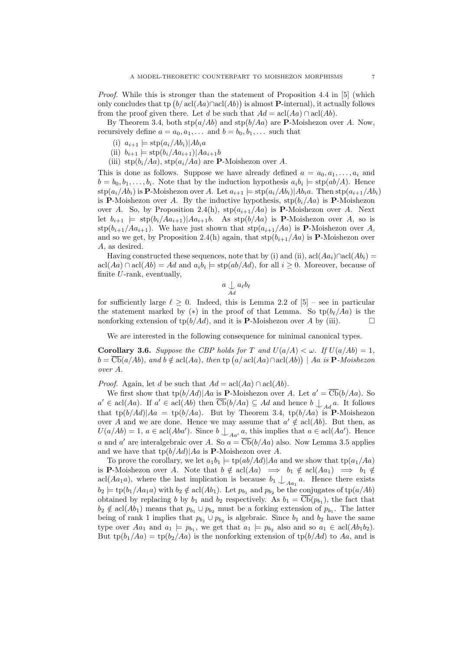*Proof.* While this is stronger than the statement of Proposition 4.4 in [5] (which only concludes that tp  $(b/ \text{acl}(Aa) \cap \text{acl}(Ab))$  is almost **P**-internal), it actually follows from the proof given there. Let d be such that  $Ad = \operatorname{acl}(Aa) \cap \operatorname{acl}(Ab)$ .

By Theorem 3.4, both  $\text{stp}(a/Ab)$  and  $\text{stp}(b/Aa)$  are **P**-Moishezon over A. Now, recursively define  $a = a_0, a_1, \ldots$  and  $b = b_0, b_1, \ldots$  such that

- (i)  $a_{i+1} \models \text{stp}(a_i/Ab_i)|Ab_ia$
- (ii)  $b_{i+1} = \frac{\text{stp}(b_i/Aa_{i+1})|Aa_{i+1}b}{}$
- (iii)  $\text{stp}(b_i/Aa)$ ,  $\text{stp}(a_i/Aa)$  are **P**-Moishezon over A.

This is done as follows. Suppose we have already defined  $a = a_0, a_1, \ldots, a_i$  and  $b = b_0, b_1, \ldots, b_i$ . Note that by the induction hypothesis  $a_i b_i \models \text{stp}(ab/A)$ . Hence  $\sup(a_i/Ab_i)$  is P-Moishezon over A. Let  $a_{i+1} \models \sup(a_i/Ab_i)|Ab_ia$ . Then  $\sup(a_{i+1}/Ab_i)$ is **P**-Moishezon over A. By the inductive hypothesis,  $\text{stp}(b_i/Aa)$  is **P**-Moishezon over A. So, by Proposition 2.4(h),  $\text{stp}(a_{i+1}/Aa)$  is **P**-Moishezon over A. Next let  $b_{i+1}$   $\models$  stp $(b_i/Aa_{i+1})|Aa_{i+1}b$ . As stp $(b/Aa)$  is **P**-Moishezon over A, so is  $\sup(b_{i+1}/Aa_{i+1})$ . We have just shown that  $\sup(a_{i+1}/Aa)$  is **P**-Moishezon over A, and so we get, by Proposition 2.4(h) again, that  $\text{stp}(b_{i+1}/Aa)$  is **P**-Moishezon over A, as desired.

Having constructed these sequences, note that by (i) and (ii), acl $(Aa_i)$ ∩acl $(Ab_i)$  =  $\operatorname{acl}(Aa) \cap \operatorname{acl}(Ab) = Ad$  and  $a_ib_i \models \operatorname{stp}(ab/Ad)$ , for all  $i \geq 0$ . Moreover, because of finite U-rank, eventually,

$$
a\mathop{\cup}\limits_{Ad} a_\ell b_\ell
$$

for sufficiently large  $\ell \geq 0$ . Indeed, this is Lemma 2.2 of [5] – see in particular the statement marked by (\*) in the proof of that Lemma. So  $\text{tp}(b_\ell/Aa)$  is the nonforking extension of tp( $b/Ad$ ), and it is **P**-Moishezon over A by (iii).

We are interested in the following consequence for minimal canonical types.

**Corollary 3.6.** Suppose the CBP holds for T and  $U(a/A) < \omega$ . If  $U(a/Ab) = 1$ ,  $b = \overline{\mathbf{Cb}}(a/Ab)$ , and  $b \notin \operatorname{acl}(Aa)$ , then  $\operatorname{tp} (a/\operatorname{acl}(Aa) \cap \operatorname{acl}(Ab)) \mid Aa$  is  $\mathbf{P}\text{-}Moishezon$ over A.

*Proof.* Again, let d be such that  $Ad = \operatorname{acl}(Aa) \cap \operatorname{acl}(Ab)$ .

We first show that  $tp(b/Ad)|Aa$  is **P**-Moishezon over A. Let  $a' = \overline{\text{Cb}}(b/Aa)$ . So  $a' \in \text{acl}(Aa)$ . If  $a' \in \text{acl}(Ab)$  then  $\overline{\text{Cb}}(b/Aa) \subseteq Ad$  and hence  $b \bigcup_{Ad} a$ . It follows that tp $(b/Ad)|Aa =$  tp $(b/Ad)$ . But by Theorem 3.4, tp $(b/Ad)$  is P-Moishezon over A and we are done. Hence we may assume that  $a' \notin \operatorname{acl}(Ab)$ . But then, as  $U(a/Ab) = 1, a \in \text{acl}(Aba')$ . Since  $b \bigcup_{Aa'} a$ , this implies that  $a \in \text{acl}(Aa')$ . Hence a and a' are interalgebraic over A. So  $a = \overline{\text{Cb}}(b/Aa)$  also. Now Lemma 3.5 applies and we have that  $\text{tp}(b/Ad)|Aa$  is **P**-Moishezon over A.

To prove the corollary, we let  $a_1b_1 \models \text{tp}(ab/Ad)|Aa$  and we show that  $\text{tp}(a_1/Aa)$ is P-Moishezon over A. Note that  $b \notin \text{acl}(Aa) \implies b_1 \notin \text{acl}(Aa_1) \implies b_1 \notin$ acl $(Aa_1a)$ , where the last implication is because  $b_1 \nightharpoonup_{Aa_1} a$ . Hence there exists  $b_2 \models \text{tp}(b_1/Aa_1a)$  with  $b_2 \notin \text{acl}(Ab_1)$ . Let  $p_{b_1}$  and  $p_{b_2}$  be the conjugates of  $\text{tp}(a/Ab)$ obtained by replacing b by  $b_1$  and  $b_2$  respectively. As  $b_1 = \text{Cb}(p_{b_1})$ , the fact that  $b_2 \notin \text{acl}(Ab_1)$  means that  $p_{b_1} \cup p_{b_2}$  must be a forking extension of  $p_{b_1}$ . The latter being of rank 1 implies that  $p_{b_1} \cup p_{b_2}$  is algebraic. Since  $b_1$  and  $b_2$  have the same type over  $Aa_1$  and  $a_1 \models p_{b_1}$ , we get that  $a_1 \models p_{b_2}$  also and so  $a_1 \in \text{acl}(Ab_1b_2)$ . But  $tp(b_1/Aa) = tp(b_2/Aa)$  is the nonforking extension of  $tp(b/Ad)$  to Aa, and is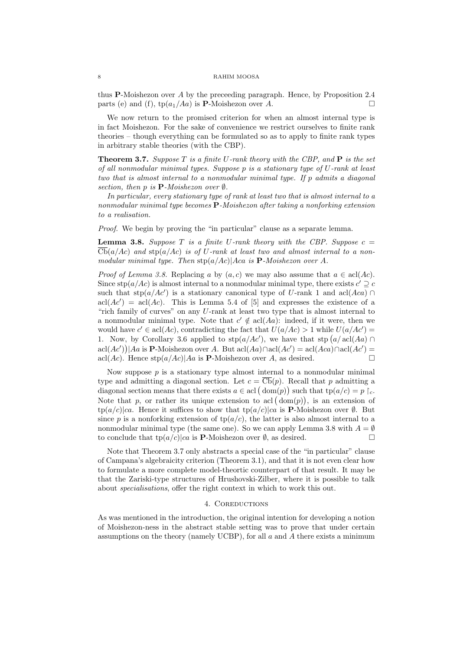thus P-Moishezon over A by the preceeding paragraph. Hence, by Proposition 2.4 parts (e) and (f),  $tp(a_1/Aa)$  is **P**-Moishezon over A.

We now return to the promised criterion for when an almost internal type is in fact Moishezon. For the sake of convenience we restrict ourselves to finite rank theories – though everything can be formulated so as to apply to finite rank types in arbitrary stable theories (with the CBP).

**Theorem 3.7.** Suppose T is a finite U-rank theory with the CBP, and  $P$  is the set of all nonmodular minimal types. Suppose p is a stationary type of U-rank at least two that is almost internal to a nonmodular minimal type. If p admits a diagonal section, then p is  $\mathbf{P}\text{-}Moishezon over  $\emptyset$ .$ 

In particular, every stationary type of rank at least two that is almost internal to a nonmodular minimal type becomes P-Moishezon after taking a nonforking extension to a realisation.

Proof. We begin by proving the "in particular" clause as a separate lemma.

**Lemma 3.8.** Suppose T is a finite U-rank theory with the CBP. Suppose  $c =$  $\overline{\text{Cb}}(a/Ac)$  and stp $(a/Ac)$  is of U-rank at least two and almost internal to a nonmodular minimal type. Then  $\sup(a/Ac)|Aca$  is **P**-Moishezon over A.

*Proof of Lemma 3.8.* Replacing a by  $(a, c)$  we may also assume that  $a \in \text{acl}(Ac)$ . Since  $\text{stp}(a/Ac)$  is almost internal to a nonmodular minimal type, there exists  $c' \supseteq c$ such that  $\text{stp}(a/Ac')$  is a stationary canonical type of U-rank 1 and acl(Aca) ∩  $\operatorname{acl}(Ac') = \operatorname{acl}(Ac)$ . This is Lemma 5.4 of [5] and expresses the existence of a "rich family of curves" on any U-rank at least two type that is almost internal to a nonmodular minimal type. Note that  $c' \notin \text{acl}(Aa)$ : indeed, if it were, then we would have  $c' \in \text{acl}(Ac)$ , contradicting the fact that  $U(a/Ac) > 1$  while  $U(a/Ac') =$ 1. Now, by Corollary 3.6 applied to  $\text{stp}(a/Ac')$ , we have that  $\text{stp}(a/\text{acl}(Aa) \cap$  $\text{acl}(Ac')$  | Aa is P-Moishezon over A. But  $\text{acl}(Aa) \cap \text{acl}(Ac') = \text{acl}(Aca) \cap \text{acl}(Ac') =$ acl $(Ac)$ . Hence  $\text{stp}(a/Ac)|Aa$  is **P**-Moishezon over A, as desired.

Now suppose  $p$  is a stationary type almost internal to a nonmodular minimal type and admitting a diagonal section. Let  $c = \overline{\text{Cb}}(p)$ . Recall that p admitting a diagonal section means that there exists  $a \in \text{acl}(\text{dom}(p))$  such that  $\text{tp}(a/c) = p \restriction_{c}$ . Note that p, or rather its unique extension to acl  $(\text{dom}(p))$ , is an extension of  $tp(a/c)|ca$ . Hence it suffices to show that  $tp(a/c)|ca$  is **P**-Moishezon over  $\emptyset$ . But since p is a nonforking extension of  $tp(a/c)$ , the latter is also almost internal to a nonmodular minimal type (the same one). So we can apply Lemma 3.8 with  $A = \emptyset$ to conclude that  $\text{tr}(a/c)|ca$  is **P**-Moishezon over  $\emptyset$ , as desired.

Note that Theorem 3.7 only abstracts a special case of the "in particular" clause of Campana's algebraicity criterion (Theorem 3.1), and that it is not even clear how to formulate a more complete model-theortic counterpart of that result. It may be that the Zariski-type structures of Hrushovski-Zilber, where it is possible to talk about specialisations, offer the right context in which to work this out.

#### 4. COREDUCTIONS

As was mentioned in the introduction, the original intention for developing a notion of Moishezon-ness in the abstract stable setting was to prove that under certain assumptions on the theory (namely UCBP), for all  $a$  and  $A$  there exists a minimum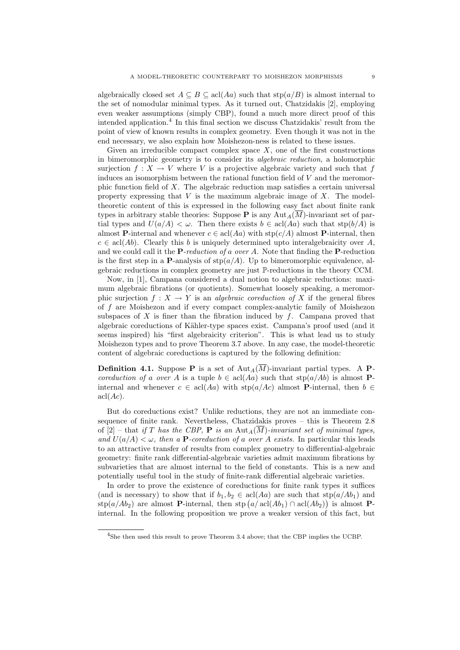algebraically closed set  $A \subseteq B \subseteq \text{acl}(Aa)$  such that  $\text{stp}(a/B)$  is almost internal to the set of nomodular minimal types. As it turned out, Chatzidakis [2], employing even weaker assumptions (simply CBP), found a much more direct proof of this intended application.<sup>4</sup> In this final section we discuss Chatzidakis' result from the point of view of known results in complex geometry. Even though it was not in the end necessary, we also explain how Moishezon-ness is related to these issues.

Given an irreducible compact complex space  $X$ , one of the first constructions in bimeromorphic geometry is to consider its algebraic reduction, a holomorphic surjection  $f: X \to V$  where V is a projective algebraic variety and such that f induces an isomorphism between the rational function field of  $V$  and the meromorphic function field of X. The algebraic reduction map satisfies a certain universal property expressing that  $V$  is the maximum algebraic image of  $X$ . The modeltheoretic content of this is expressed in the following easy fact about finite rank types in arbitrary stable theories: Suppose **P** is any Aut<sub>A</sub> $(\overline{M})$ -invariant set of partial types and  $U(a/A) < \omega$ . Then there exists  $b \in \text{acl}(Aa)$  such that  $\text{stp}(b/A)$  is almost P-internal and whenever  $c \in \text{acl}(Aa)$  with  $\text{stp}(c/A)$  almost P-internal, then  $c \in \text{acl}(Ab)$ . Clearly this b is uniquely determined upto interalgebraicity over A, and we could call it the **P**-reduction of a over A. Note that finding the **P**-reduction is the first step in a **P**-analysis of  $\text{stp}(a/A)$ . Up to bimeromorphic equivalence, algebraic reductions in complex geometry are just P-reductions in the theory CCM.

Now, in [1], Campana considered a dual notion to algebraic reductions: maximum algebraic fibrations (or quotients). Somewhat loosely speaking, a meromorphic surjection  $f: X \to Y$  is an *algebraic coreduction of* X if the general fibres of f are Moishezon and if every compact complex-analytic family of Moishezon subspaces of  $X$  is finer than the fibration induced by  $f$ . Campana proved that algebraic coreductions of Kähler-type spaces exist. Campana's proof used (and it seems inspired) his "first algebraicity criterion". This is what lead us to study Moishezon types and to prove Theorem 3.7 above. In any case, the model-theoretic content of algebraic coreductions is captured by the following definition:

**Definition 4.1.** Suppose **P** is a set of  $\text{Aut}_A(\overline{M})$ -invariant partial types. A **P**coreduction of a over A is a tuple  $b \in \text{acl}(Aa)$  such that  $\text{stp}(a/Ab)$  is almost Pinternal and whenever  $c \in \text{acl}(Aa)$  with  $\text{stp}(a/Ac)$  almost **P**-internal, then  $b \in$  $\operatorname{acl}(Ac).$ 

But do coreductions exist? Unlike reductions, they are not an immediate consequence of finite rank. Nevertheless, Chatzidakis proves – this is Theorem 2.8 of [2] – that if T has the CBP, **P** is an Aut<sub>A</sub>( $\overline{M}$ )-invariant set of minimal types, and  $U(a/A) < \omega$ , then a **P**-coreduction of a over A exists. In particular this leads to an attractive transfer of results from complex geometry to differential-algebraic geometry: finite rank differential-algebraic varieties admit maximum fibrations by subvarieties that are almost internal to the field of constants. This is a new and potentially useful tool in the study of finite-rank differential algebraic varieties.

In order to prove the existence of coreductions for finite rank types it suffices (and is necessary) to show that if  $b_1, b_2 \in \text{acl}(Aa)$  are such that  $\text{stp}(a/Ab_1)$  and stp(a/Ab<sub>2</sub>) are almost **P**-internal, then stp(a/acl(Ab<sub>1</sub>) ∩ acl(Ab<sub>2</sub>)) is almost **P**internal. In the following proposition we prove a weaker version of this fact, but

<sup>&</sup>lt;sup>4</sup>She then used this result to prove Theorem 3.4 above; that the CBP implies the UCBP.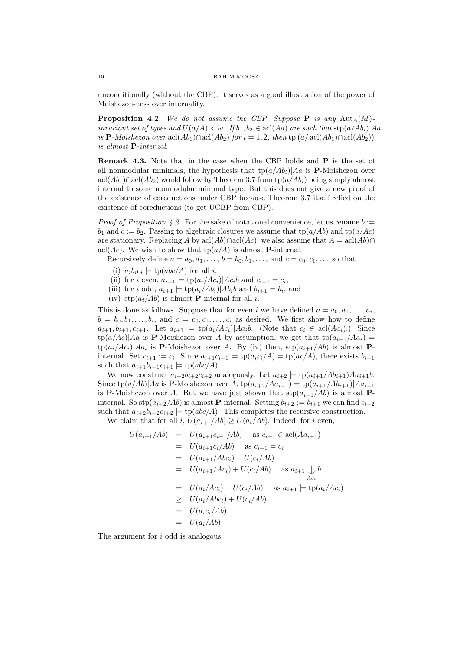unconditionally (without the CBP). It serves as a good illustration of the power of Moishezon-ness over internality.

**Proposition 4.2.** We do not assume the CBP. Suppose **P** is any Aut<sub>A</sub>( $\overline{M}$ ). invariant set of types and  $U(a/A) < \omega$ . If  $b_1, b_2 \in \text{acl}(Aa)$  are such that  $\text{stp}(a/Ab_i)|Aa$ is P-Moishezon over  $\operatorname{acl}(Ab_1) \cap \operatorname{acl}(Ab_2)$  for  $i = 1, 2$ , then  $\operatorname{tp}(a/\operatorname{acl}(Ab_1) \cap \operatorname{acl}(Ab_2))$ is almost P-internal.

Remark 4.3. Note that in the case when the CBP holds and P is the set of all nonmodular minimals, the hypothesis that  $tp(a/Ab<sub>i</sub>)|Aa$  is **P**-Moishezon over acl( $Ab_1$ )∩acl( $Ab_2$ ) would follow by Theorem 3.7 from tp( $a/Ab_i$ ) being simply almost internal to some nonmodular minimal type. But this does not give a new proof of the existence of coreductions under CBP because Theorem 3.7 itself relied on the existence of coreductions (to get UCBP from CBP).

*Proof of Proposition 4.2.* For the sake of notational convenience, let us rename  $b :=$  $b_1$  and  $c := b_2$ . Passing to algebraic closures we assume that  $\text{tp}(a/Ab)$  and  $\text{tp}(a/Ac)$ are stationary. Replacing A by  $\text{acl}(Ab)\cap \text{acl}(Ac)$ , we also assume that  $A = \text{acl}(Ab)\cap$ acl(Ac). We wish to show that  $tp(a/A)$  is almost **P**-internal.

Recursively define  $a = a_0, a_1, \ldots, b = b_0, b_1, \ldots$ , and  $c = c_0, c_1, \ldots$  so that

- (i)  $a_i b_i c_i \models \text{tp}(abc/A)$  for all i,
- (ii) for i even,  $a_{i+1} \models \text{tp}(a_i/Ac_i) | Ac_i b$  and  $c_{i+1} = c_i$ ,
- (iii) for i odd,  $a_{i+1} \models \text{tp}(a_i/Ab_i) | Ab_i b$  and  $b_{i+1} = b_i$ , and
- (iv)  $\text{stp}(a_i/Ab)$  is almost **P**-internal for all *i*.

This is done as follows. Suppose that for even i we have defined  $a = a_0, a_1, \ldots, a_i$ ,  $b = b_0, b_1, \ldots, b_i$ , and  $c = c_0, c_1, \ldots, c_i$  as desired. We first show how to define  $a_{i+1}, b_{i+1}, c_{i+1}$ . Let  $a_{i+1} \models \text{tp}(a_i/Ac_i) | Aa_i b$ . (Note that  $c_i \in \text{acl}(Aa_i)$ .) Since  $tp(a/Ac)|Aa$  is **P**-Moishezon over A by assumption, we get that  $tp(a_{i+1}/Aa_i)$  =  $tp(a_i/Ac_i)|Aa_i$  is **P**-Moishezon over A. By (iv) then,  $stp(a_{i+1}/Ab)$  is almost **P**internal. Set  $c_{i+1} := c_i$ . Since  $a_{i+1}c_{i+1} \models \text{tp}(a_i c_i/A) = \text{tp}(ac/A)$ , there exists  $b_{i+1}$ such that  $a_{i+1}b_{i+1}c_{i+1} \models \text{tp}(abc/A)$ .

We now construct  $a_{i+2}b_{i+2}c_{i+2}$  analogously. Let  $a_{i+2} \models \text{tp}(a_{i+1}/Ab_{i+1})Aa_{i+1}b$ . Since  $tp(a/Ab)|Aa$  is **P**-Moishezon over A,  $tp(a_{i+2}/Aa_{i+1}) = tp(a_{i+1}/Ab_{i+1})|Aa_{i+1}$ is P-Moishezon over A. But we have just shown that  $\text{stp}(a_{i+1}/Ab)$  is almost Pinternal. So  $\text{stp}(a_{i+2}/Ab)$  is almost **P**-internal. Setting  $b_{i+2} := b_{i+1}$  we can find  $c_{i+2}$ such that  $a_{i+2}b_{i+2}c_{i+2} \models \text{tp}(abc/A)$ . This completes the recursive construction.

We claim that for all i,  $U(a_{i+1}/Ab) \ge U(a_i/Ab)$ . Indeed, for i even,

$$
U(a_{i+1}/Ab) = U(a_{i+1}c_{i+1}/Ab) \text{ as } c_{i+1} \in \text{acl}(Aa_{i+1})
$$
  
\n
$$
= U(a_{i+1}c_i/Ab) \text{ as } c_{i+1} = c_i
$$
  
\n
$$
= U(a_{i+1}/Abc_i) + U(c_i/Ab)
$$
  
\n
$$
= U(a_{i+1}/Ac_i) + U(c_i/Ab) \text{ as } a_{i+1} \downarrow b
$$
  
\n
$$
= U(a_i/Ac_i) + U(c_i/Ab) \text{ as } a_{i+1} \models \text{tp}(a_i/Ac_i)
$$
  
\n
$$
\geq U(a_i/Abc_i) + U(c_i/Ab)
$$
  
\n
$$
= U(a_ic_i/Ab)
$$
  
\n
$$
= U(a_i/Ab)
$$

The argument for i odd is analogous.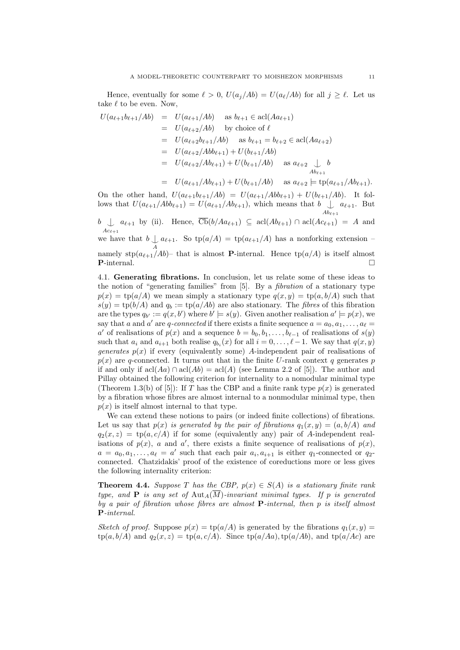Hence, eventually for some  $\ell > 0$ ,  $U(a_j/Ab) = U(a_{\ell}/Ab)$  for all  $j \geq \ell$ . Let us take  $\ell$  to be even. Now,

$$
U(a_{\ell+1}b_{\ell+1}/Ab) = U(a_{\ell+1}/Ab) \text{ as } b_{\ell+1} \in \text{acl}(Aa_{\ell+1})
$$
  
\n
$$
= U(a_{\ell+2}/Ab) \text{ by choice of } \ell
$$
  
\n
$$
= U(a_{\ell+2}b_{\ell+1}/Ab) \text{ as } b_{\ell+1} = b_{\ell+2} \in \text{acl}(Aa_{\ell+2})
$$
  
\n
$$
= U(a_{\ell+2}/Abb_{\ell+1}) + U(b_{\ell+1}/Ab)
$$
  
\n
$$
= U(a_{\ell+2}/Ab_{\ell+1}) + U(b_{\ell+1}/Ab) \text{ as } a_{\ell+2} \downarrow b
$$
  
\n
$$
= U(a_{\ell+2}/Ab_{\ell+1}) + U(b_{\ell+1}/Ab) \text{ as } a_{\ell+2} \downarrow b
$$

$$
= U(a_{\ell+1}/Ab_{\ell+1}) + U(b_{\ell+1}/Ab) \quad \text{as } a_{\ell+2} \models \text{tp}(a_{\ell+1}/Ab_{\ell+1}).
$$

On the other hand,  $U(a_{\ell+1}b_{\ell+1}/Ab) = U(a_{\ell+1}/Ab_{\ell+1}) + U(b_{\ell+1}/Ab)$ . It follows that  $U(a_{\ell+1}/Abb_{\ell+1}) = U(a_{\ell+1}/Ab_{\ell+1}),$  which means that  $b \bigcup a_{\ell+1}$ . But  $Ab_{\ell+1}$ 

 $b \bigcup a_{\ell+1}$  by (ii). Hence,  $\text{Cb}(b/Aa_{\ell+1}) \subseteq \text{acl}(Ab_{\ell+1}) \cap \text{acl}(Ac_{\ell+1}) = A$  and  $Ac_{\ell+1}$ 

we have that  $b \bigcup_{A}$  $a_{\ell+1}$ . So tp( $a/A$ ) = tp( $a_{\ell+1}/A$ ) has a nonforking extension –

namely stp $(a_{\ell+1}/Ab)$ – that is almost **P**-internal. Hence tp $(a/A)$  is itself almost **P**-internal.

4.1. Generating fibrations. In conclusion, let us relate some of these ideas to the notion of "generating families" from [5]. By a fibration of a stationary type  $p(x) = \text{tp}(a/A)$  we mean simply a stationary type  $q(x, y) = \text{tp}(a, b/A)$  such that  $s(y) = \text{tp}(b/A)$  and  $q_b := \text{tp}(a/Ab)$  are also stationary. The *fibres* of this fibration are the types  $q_{b'} := q(x, b')$  where  $b' \models s(y)$ . Given another realisation  $a' \models p(x)$ , we say that a and a' are q-connected if there exists a finite sequence  $a = a_0, a_1, \ldots, a_\ell =$ a' of realisations of  $p(x)$  and a sequence  $b = b_0, b_1, \ldots, b_{\ell-1}$  of realisations of  $s(y)$ such that  $a_i$  and  $a_{i+1}$  both realise  $q_{b_i}(x)$  for all  $i = 0, \ldots, \ell - 1$ . We say that  $q(x, y)$ *generates*  $p(x)$  if every (equivalently some) A-independent pair of realisations of  $p(x)$  are q-connected. It turns out that in the finite U-rank context q generates p if and only if  $\operatorname{acl}(Aa) \cap \operatorname{acl}(Ab) = \operatorname{acl}(A)$  (see Lemma 2.2 of [5]). The author and Pillay obtained the following criterion for internality to a nomodular minimal type (Theorem 1.3(b) of [5]): If T has the CBP and a finite rank type  $p(x)$  is generated by a fibration whose fibres are almost internal to a nonmodular minimal type, then  $p(x)$  is itself almost internal to that type.

We can extend these notions to pairs (or indeed finite collections) of fibrations. Let us say that  $p(x)$  is generated by the pair of fibrations  $q_1(x, y) = (a, b/A)$  and  $q_2(x, z) = \text{tp}(a, c/A)$  if for some (equivalently any) pair of A-independent realisations of  $p(x)$ , a and a', there exists a finite sequence of realisations of  $p(x)$ ,  $a = a_0, a_1, \ldots, a_\ell = a'$  such that each pair  $a_i, a_{i+1}$  is either q-connected or q<sub>2</sub>connected. Chatzidakis' proof of the existence of coreductions more or less gives the following internality criterion:

**Theorem 4.4.** Suppose T has the CBP,  $p(x) \in S(A)$  is a stationary finite rank type, and **P** is any set of Aut<sub>A</sub>( $\overline{M}$ )-invariant minimal types. If p is generated by a pair of fibration whose fibres are almost P-internal, then p is itself almost P-internal.

Sketch of proof. Suppose  $p(x) = \text{tp}(a/A)$  is generated by the fibrations  $q_1(x, y) =$  $tp(a, b/A)$  and  $q_2(x, z) = tp(a, c/A)$ . Since  $tp(a/ha)$ ,  $tp(a/Ab)$ , and  $tp(a/Ac)$  are